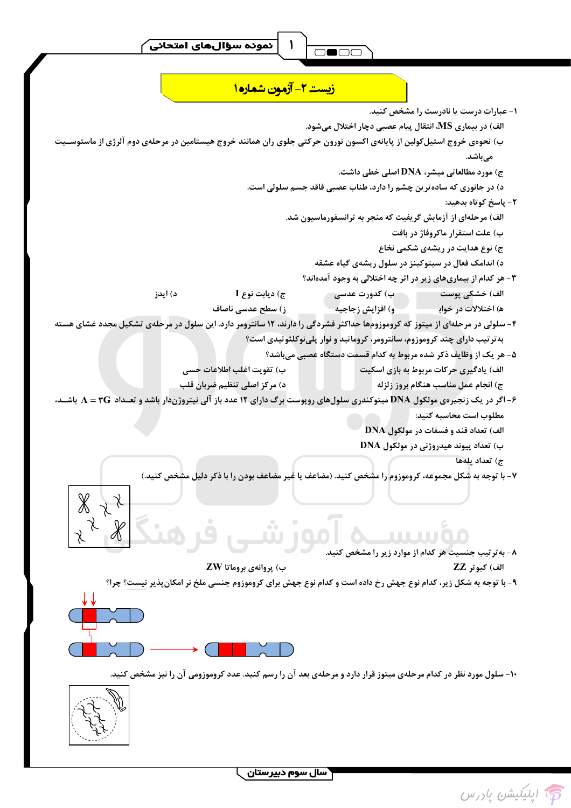$$
\begin{array}{|c|c|c|}\hline \rule{0pt}{12pt}\quad \text{mod} \quad \\ \hline \rule{0pt}{12pt}\quad \text{mod} \quad \\ \hline \rule{0pt}{12pt}\quad \text{mod} \quad \\ \hline \rule{0pt}{12pt}\quad \text{mod} \quad \\ \hline \rule{0pt}{12pt}\quad \text{mod} \quad \\ \hline \rule{0pt}{12pt}\quad \text{mod} \quad \\ \hline \rule{0pt}{12pt}\quad \text{mod} \quad \\ \hline \rule{0pt}{12pt}\quad \text{mod} \quad \\ \hline \rule{0pt}{12pt}\quad \text{mod} \quad \\ \hline \rule{0pt}{12pt}\quad \text{mod} \quad \\ \hline \rule{0pt}{12pt}\quad \text{mod} \quad \\ \hline \rule{0pt}{12pt}\quad \text{mod} \quad \\ \hline \rule{0pt}{12pt}\quad \text{mod} \quad \\ \hline \rule{0pt}{12pt}\quad \text{mod} \quad \\ \hline \rule{0pt}{12pt}\quad \text{mod} \quad \\ \hline \rule{0pt}{12pt}\quad \text{mod} \quad \\ \hline \rule{0pt}{12pt}\quad \text{mod} \quad \\ \hline \rule{0pt}{12pt}\quad \text{mod} \quad \\ \hline \rule{0pt}{12pt}\quad \text{mod} \quad \\ \hline \rule{0pt}{12pt}\quad \text{mod} \quad \\ \hline \rule{0pt}{12pt}\quad \text{mod} \quad \\ \hline \rule{0pt}{12pt}\quad \text{mod} \quad \\ \hline \rule{0pt}{12pt}\quad \text{mod} \quad \\ \hline \rule{0pt}{12pt}\quad \text{mod} \quad \\ \hline \rule{0pt}{12pt}\quad \text{mod} \quad \\ \hline \rule{0pt}{12pt}\quad \text{mod} \quad \\ \hline \rule{0pt}{12pt}\quad \text{mod} \quad \\ \hline \rule{0pt}{12pt}\quad \text{mod} \quad \\ \hline \rule{0pt}{12pt}\quad \text{mod} \quad \\ \hline \rule{0pt}{12pt}\quad \text{mod} \quad \\ \hline \rule{0pt}{12pt}\quad \text{mod} \quad \\ \hline \rule{0pt}{12pt}\quad \text{mod} \quad \\ \hline \rule{0pt}{12pt}\quad \text{mod} \quad \\ \hline \rule{0pt}{12pt}\quad \text{mod} \quad \\
$$

<mark>زیست ۲- آزمون شماره ۱</mark> ۱- عبارات درست یا نادرست را مشخص کنید. الف) در بیماری MS، انتقال پیام عصبی دچار اختلال می شود. ب) نحوهی خروج استیل کولین از پایانهی اکسون نورون حرکتی جلوی ران همانند خروج هیستامین در مرحلهی دوم آلرژی از ماستوســیت میباشد. ج) مورد مطالعاتی میشر، DNA اصلی خطی داشت. د) در جانوری که ساده ترین چشم را دارد، طناب عصبی فاقد جسم سلولی است. ٢- پاسخ کوتاه بدهيد: الف) مرحلهای از آزمایش گریفیت که منجر به ترانسفورماسیون شد. ب) علت استقرار ماكروفاژ در بافت ج) نوع هدایت در ریشهی شکمی نخاع د) اندامک فعال در سیتوکینز در سلول ریشهی گیاه عشقه ۳- هر کدام از بیماریهای زیر در اثر چه اختلالی به وجود آمدهاند؟ ۔ ب) کدورت عدسی د) ايدز ج) ديابت نوع I الف) خشکی پوست ز) سطح عدسی ناصاف و) افزایش زجاجیه ه) اختلالات در خواب<sup>ا</sup> ۴- سلولی در مرحلهای از میتوز که کروموزومها حداکثر فشردگی را دارند، ۱۲ سانترومر دارد. این سلول در مرحلهی تشکیل مجدد غشای هسته به تر تیب دارای چند کروموزوم، سانترومر، کروماتید و نوار پلی نوکلئوتیدی است؟ ۵– هر یک از وظایف ذکر شده مربوط به کدام قسمت دستگاه عصبی میباشد؟ ب) تقويت اغلب اطلاعات حسي الف) یادگیری حرکات مربوط به بازی اسکیت د) مركز اصلى تنظيم ضربان قلب ج) انجام عمل مناسب هنگام بروز زلزله ۶- اگر در یک زنجیروی مولکول DNA میتوکندری سلولهای روپوست برگ دارای ۱۲ عدد باز آلی نیتروژندار باشد و تعــداد A = ۳G باشــد، مطلوب است محاسبه كنيد: الف) تعداد قند و فسفات در مولکول DNA ب) تعداد پیوند هیدروژنی در مولکّول DNA ج) تعداد بلهها ۷- با توجه به شکل مجموعه، کروموزوم را مشخص کنید. (مضاعف یا غیر مضاعف بودن را با ذکر دلیل مشخص کنید.)  $\mathbb X$ TIL TILOO ۸− به تر تیب جنسیت هر کدام از موارد زیر را مشخص کنید. ب) پروانهی بروماتا ZW الف) كبوتر ZZ ۹- با توجه به شکل زیر، کدام نوع جهش رخ داده است و کدام نوع جهش برای کروموزوم جنسی ملخ نر امکان پذیر نیست؟ چرا؟ ۱۰- سلول مورد نظر در کدام مرحلهی میتوز قرار دارد و مرحلهی بعد آن را رسم کنید. عدد کروموزومی آن را نیز مشخص کنید.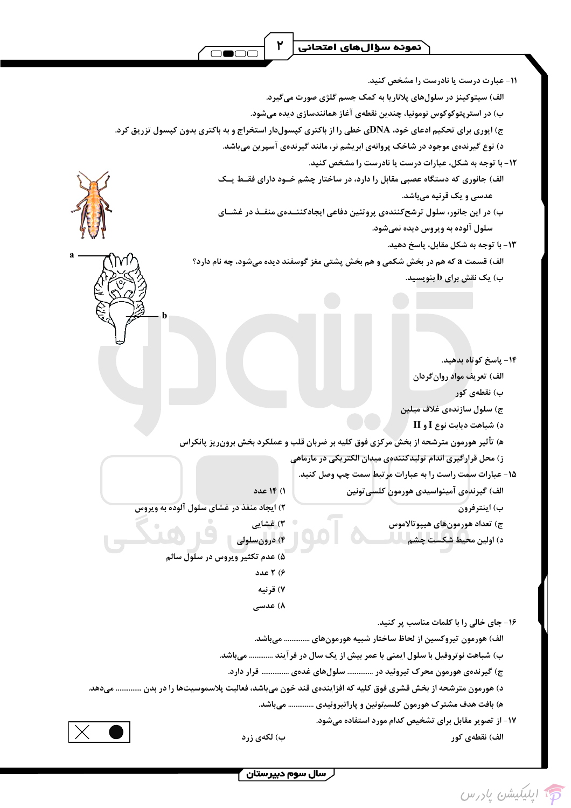

۱۷- از تصویر مقابل برای تشخیص کدام مورد استفاده می شود.

الف) نقطهي كور

ب) لکەي زرد

ِ سال سوم دبیرستان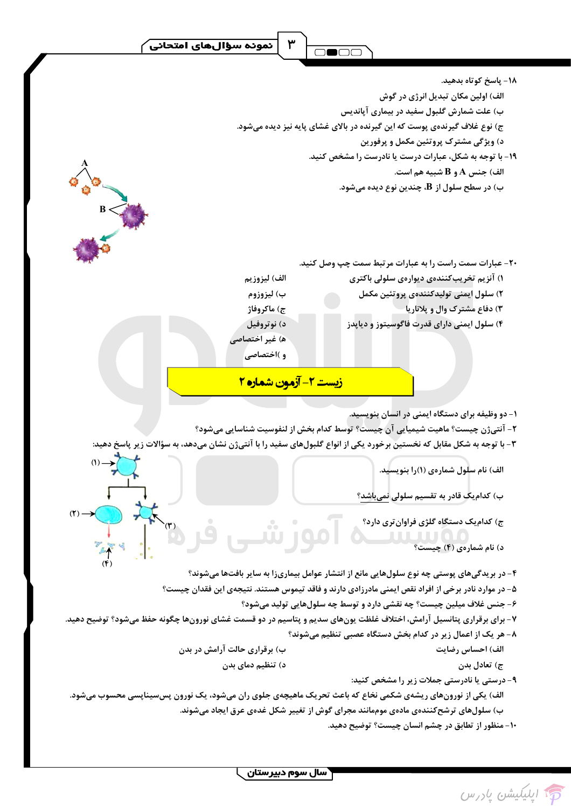$\mathbf{r}$ 

|                                                                                                            | ۱۸- پاسخ کوتاه بدهید.                                                                                                 |  |  |  |  |  |  |
|------------------------------------------------------------------------------------------------------------|-----------------------------------------------------------------------------------------------------------------------|--|--|--|--|--|--|
|                                                                                                            | الف) اولین مکان تبدیل انرژی در گوش                                                                                    |  |  |  |  |  |  |
|                                                                                                            | ب) علت شمارش گلبول سفید در بیماری آپاندیس                                                                             |  |  |  |  |  |  |
| ج) نوع غلاف گیرندهی پوست که این گیرنده در بالای غشای پایه نیز دیده میشود.                                  |                                                                                                                       |  |  |  |  |  |  |
|                                                                                                            | د) ویژگی مشترک پروتئین مکمل و پرفورین                                                                                 |  |  |  |  |  |  |
|                                                                                                            | ۱۹- با توجه به شکل، عبارات درست یا نادرست را مشخص کنید.                                                               |  |  |  |  |  |  |
|                                                                                                            | الف) جنس A و B شبيه هم است.                                                                                           |  |  |  |  |  |  |
|                                                                                                            | ب) در سطح سلول از B، چندین نوع دیده میشود.                                                                            |  |  |  |  |  |  |
|                                                                                                            |                                                                                                                       |  |  |  |  |  |  |
|                                                                                                            |                                                                                                                       |  |  |  |  |  |  |
|                                                                                                            |                                                                                                                       |  |  |  |  |  |  |
|                                                                                                            |                                                                                                                       |  |  |  |  |  |  |
|                                                                                                            | ۲۰- عبارات سمت راست را به عبارات مرتبط سمت چپ وصل کنید.                                                               |  |  |  |  |  |  |
| الف) ليزوزيم                                                                                               | ۱) آنزیم تخریبکنندهی دیوارهی سلولی باکتری                                                                             |  |  |  |  |  |  |
| ب) ليزوزوم                                                                                                 | ۲) سلول ایمنی تولیدکنندوی پروتئین مکمل                                                                                |  |  |  |  |  |  |
| ج) ماكروفاژ                                                                                                | ۳) دفاع مشترک وال و پلاناریا-                                                                                         |  |  |  |  |  |  |
| د) نوتروفيل                                                                                                | ۴) سلول ایمنی دارای قدرت فاگوسیتوز و دیاپدز                                                                           |  |  |  |  |  |  |
| ه) غیر اختصاصی                                                                                             |                                                                                                                       |  |  |  |  |  |  |
| و )اختصاصی                                                                                                 |                                                                                                                       |  |  |  |  |  |  |
|                                                                                                            |                                                                                                                       |  |  |  |  |  |  |
|                                                                                                            | <u>زیست ۲- آزمون شماره ۲</u>                                                                                          |  |  |  |  |  |  |
|                                                                                                            | ۱- دو وظیفه برای دستگاه ایمنی در انسان بنویسید.                                                                       |  |  |  |  |  |  |
|                                                                                                            | ٢- آنتیژن چیست؟ ماهیت شیمیایی آن چیست؟ توسط کدام بخش از لنفوسیت شناسایی میشود؟                                        |  |  |  |  |  |  |
|                                                                                                            | ۳- با توجه به شکل مقابل که نخستین برخورد یکی از انواع گلبولهای سفید را با آنتیژن نشان میدهد، به سؤالات زیر پاسخ دهید: |  |  |  |  |  |  |
| $(1) \rightarrow$                                                                                          |                                                                                                                       |  |  |  |  |  |  |
|                                                                                                            | الف) نام سلول شمارهی (۱)را بنویسید.                                                                                   |  |  |  |  |  |  |
|                                                                                                            |                                                                                                                       |  |  |  |  |  |  |
|                                                                                                            | ب) کدام یک قادر به تقسیم سلولی <u>نمیباشد</u> ؟                                                                       |  |  |  |  |  |  |
| آموزشی                                                                                                     | ج) کدام یک دستگاه گلژی فراوان تری دارد؟                                                                               |  |  |  |  |  |  |
|                                                                                                            |                                                                                                                       |  |  |  |  |  |  |
|                                                                                                            | د) نام شمارهی (۴) چیست؟                                                                                               |  |  |  |  |  |  |
|                                                                                                            | ۴- در بریدگیهای پوستی چه نوع سلولهایی مانع از انتشار عوامل بیماریزا به سایر بافتها میشوند؟                            |  |  |  |  |  |  |
|                                                                                                            | ۵- در موارد نادر برخی از افراد نقص ایمنی مادرزادی دارند و فاقد تیموس هستند. نتیجهی این فقدان چیست؟                    |  |  |  |  |  |  |
|                                                                                                            | ۶- جنس غلاف میلین چیست؟ چه نقشی دارد و توسط چه سلولهایی تولید میشود؟                                                  |  |  |  |  |  |  |
|                                                                                                            | ۷- برای برقراری پتانسیل آرامش، اختلاف غلظت یونهای سدیم و پتاسیم در دو قسمت غشای نورونها چگونه حفظ میشود؟ توضیح دهید.  |  |  |  |  |  |  |
|                                                                                                            | ۸- هر یک از اعمال زیر در کدام بخش دستگاه عصبی تنظیم میشوند؟                                                           |  |  |  |  |  |  |
| ب) برقراری حالت آرامش در بدن                                                                               | الف) احساس رضايت                                                                                                      |  |  |  |  |  |  |
| د) تنظیم دمای بدن                                                                                          | ج) تعادل بدن                                                                                                          |  |  |  |  |  |  |
|                                                                                                            | ۹- درستی یا نادرستی جملات زیر را مشخص کنید:                                                                           |  |  |  |  |  |  |
| الف) یکی از نورونهای ریشەی شکمی نخاع که باعث تحریک ماهیچەی جلوی ران میشود، یک نورون پسسیناپسی محسوب میشود. |                                                                                                                       |  |  |  |  |  |  |
|                                                                                                            | ب) سلولهای ترشحکنندهی مادهی موممانند مجرای گوش از تغییر شکل غدهی عرق ایجاد میشوند.                                    |  |  |  |  |  |  |
|                                                                                                            | ۱۰- منظور از تطابق در چشم انسان چیست؟ توضیح دهید.                                                                     |  |  |  |  |  |  |
|                                                                                                            |                                                                                                                       |  |  |  |  |  |  |



—<br><mark>\ سال سوم دبیرستان <sub>ب</sub>ا</mark>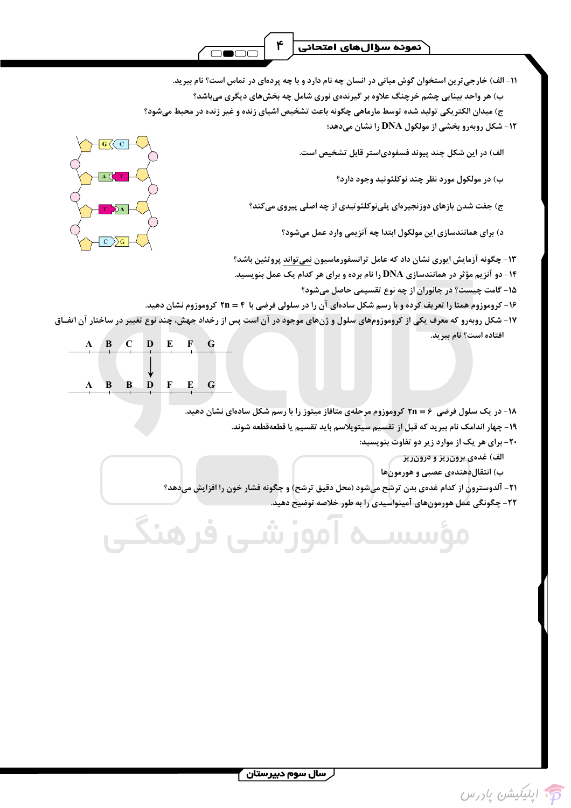۱۱- الف) خارجی ترین استخوان گوش میانی در انسان چه نام دارد و با چه پردهای در تماس است؟ نام ببرید. ب) هر واحد بینایی چشم خرچنگ علاوه بر گیرندهی نوری شامل چه بخشهای دیگری میباشد؟ ج) میدان الکتریکی تولید شده توسط مارماهی چگونه باعث تشخیص اشیای زنده و غیر زنده در محیط میشود؟

۱۲- شکل روبهرو بخشی از مولکول DNA را نشان میدهد؛

الف) در این شکل چند پیوند فسفودیاستر قابل تشخیص است.

- ب) در مولکول مورد نظر چند نوکلئوتید وجود دارد؟
- ج) جفت شدن بازهای دوزنجیرهای پلینوکلئوتیدی از چه اصلی پیروی میکند؟
	- د) برای همانندسازی این مولکول ابتدا چه آنزیمی وارد عمل میشود؟
- ۱۳- چگونه آزمایش ایوری نشان داد که عامل ترانسفورماسیون نمی تواند پروتئین باشد؟
- ۱۴- دو آنزیم مؤثر در همانندسازی DNA را نام برده و برای هر کدام یک عمل بنویسید.
	- ۱۵- گامت چیست؟ در جانوران از چه نوع تقسیمی حاصل میشود؟
- ۱۶- کروموزوم همتا را تعریف کرده و با رسم شکل سادهای آن را در سلولی فرضی با ۴ = ۲n کروموزوم نشان دهید.
- ۱۷- شکل روبهرو که معرف یکی از کروموزومهای سلول و ژنهای موجود در آن است پس از رخداد جهش، چند نوع تغییر در ساختار آن اتفـاق افتاده است؟ نام ببريد.

موز شب

|  |              | B C D E F      |              |       | $\overline{G}$ |  |
|--|--------------|----------------|--------------|-------|----------------|--|
|  |              |                |              |       |                |  |
|  |              |                |              |       |                |  |
|  | $\mathbf{B}$ | $\overline{B}$ | $\mathbf{D}$ | F E G |                |  |

ف هنگ

۱۸- در یک سلول فرضی ۶ = ۲n کروموزوم مرحلهی متافاز میتوز را با رسم شکل سادهای نشان دهید.

- ۱۹- چهار اندامک نام ببرید که قبل از تقسیم سیتوپلاسم باید تقسیم یا قطعهقطعه شوند.
	- ۲۰- برای هر یک از موارد زیر دو تفاوت بنویسید:
		- الف) غدەي برون٫يز و درون٫يز
		- ب) انتقال دهندهی عصبی و هورمون ها
- ٢١- آلدوسترون از كدام غدهي بدن ترشح ميشود (محل دقيق ترشح) و چگونه فشار خون را افزايش ميدهد؟
	- ۲۲- چگونگی عمل هورمونهای آمینواسیدی را به طور خلاصه توضیح دهید.

**Juliu Co** 

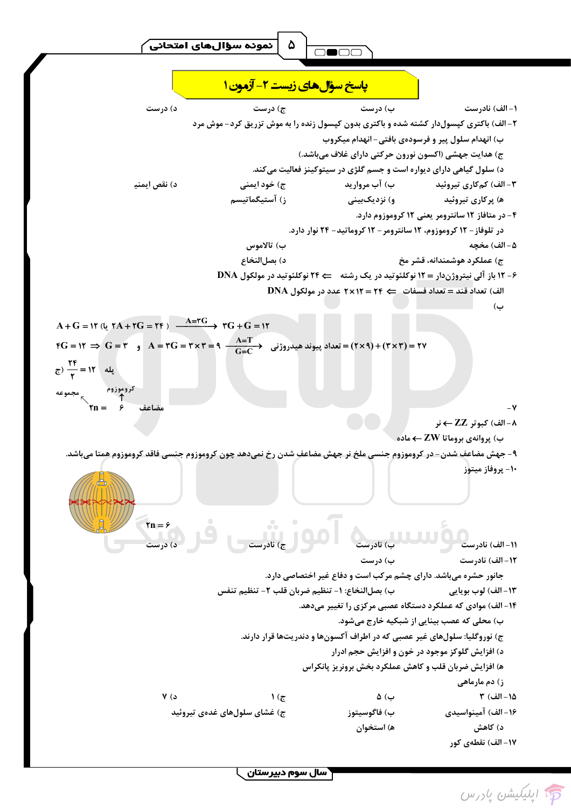



۵





**\ سال سوم دبیرستان**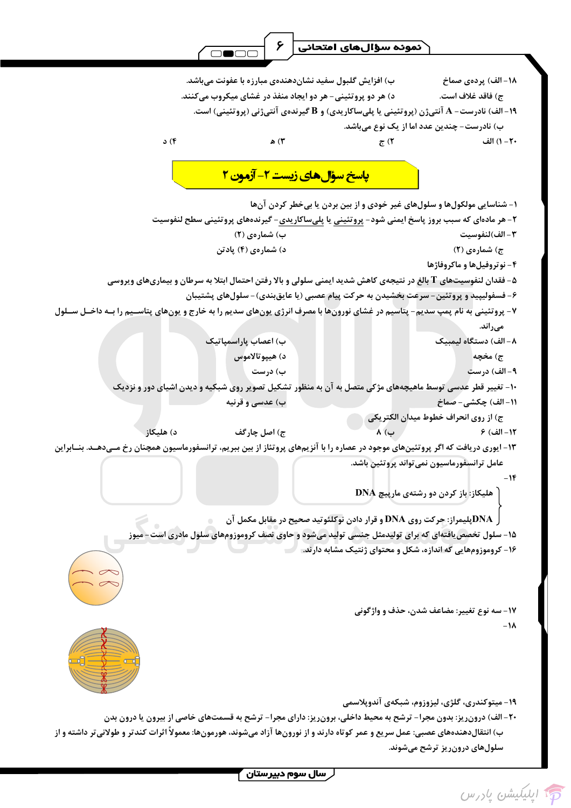ر سال سوم دبیرستان <mark>)</mark>

سلولهای درونریز ترشح میشوند.